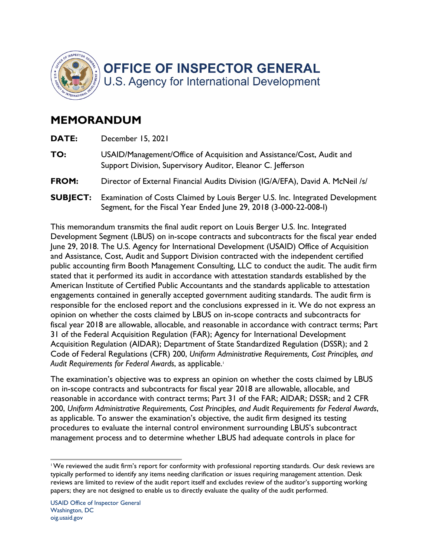

## **MEMORANDUM**

| DATE:           | December 15, 2021                                                                                                                                  |
|-----------------|----------------------------------------------------------------------------------------------------------------------------------------------------|
| TO:             | USAID/Management/Office of Acquisition and Assistance/Cost, Audit and<br>Support Division, Supervisory Auditor, Eleanor C. Jefferson               |
| FROM:           | Director of External Financial Audits Division (IG/A/EFA), David A. McNeil /s/                                                                     |
| <b>SUBJECT:</b> | Examination of Costs Claimed by Louis Berger U.S. Inc. Integrated Development<br>Segment, for the Fiscal Year Ended June 29, 2018 (3-000-22-008-I) |

 June 29, 2018. The U.S. Agency for International Development (USAID) Office of Acquisition public accounting firm Booth Management Consulting, LLC to conduct the audit. The audit firm stated that it performed its audit in accordance with attestation standards established by the responsible for the enclosed report and the conclusions expressed in it. We do not express an opinion on whether the costs claimed by LBUS on in-scope contracts and subcontracts for fiscal year 2018 are allowable, allocable, and reasonable in accordance with contract terms; Part This memorandum transmits the final audit report on Louis Berger U.S. Inc. Integrated Development Segment (LBUS) on in-scope contracts and subcontracts for the fiscal year ended and Assistance, Cost, Audit and Support Division contracted with the independent certified American Institute of Certified Public Accountants and the standards applicable to attestation engagements contained in generally accepted government auditing standards. The audit firm is 31 of the Federal Acquisition Regulation (FAR); Agency for International Development Acquisition Regulation (AIDAR); Department of State Standardized Regulation (DSSR); and 2 Code of Federal Regulations (CFR) 200, *Uniform Administrative Requirements, Cost Principles, and*  Audit Requirements for Federal Awards, as applicable.<sup>1</sup>

The examination's objective was to express an opinion on whether the costs claimed by LBUS on in-scope contracts and subcontracts for fiscal year 2018 are allowable, allocable, and reasonable in accordance with contract terms; Part 31 of the FAR; AIDAR; DSSR; and 2 CFR 200, *Uniform Administrative Requirements, Cost Principles, and Audit Requirements for Federal Awards*, as applicable. To answer the examination's objective, the audit firm designed its testing procedures to evaluate the internal control environment surrounding LBUS's subcontract management process and to determine whether LBUS had adequate controls in place for

 1 We reviewed the audit firm's report for conformity with professional reporting standards. Our desk reviews are typically performed to identify any items needing clarification or issues requiring management attention. Desk reviews are limited to review of the audit report itself and excludes review of the auditor's supporting working papers; they are not designed to enable us to directly evaluate the quality of the audit performed.